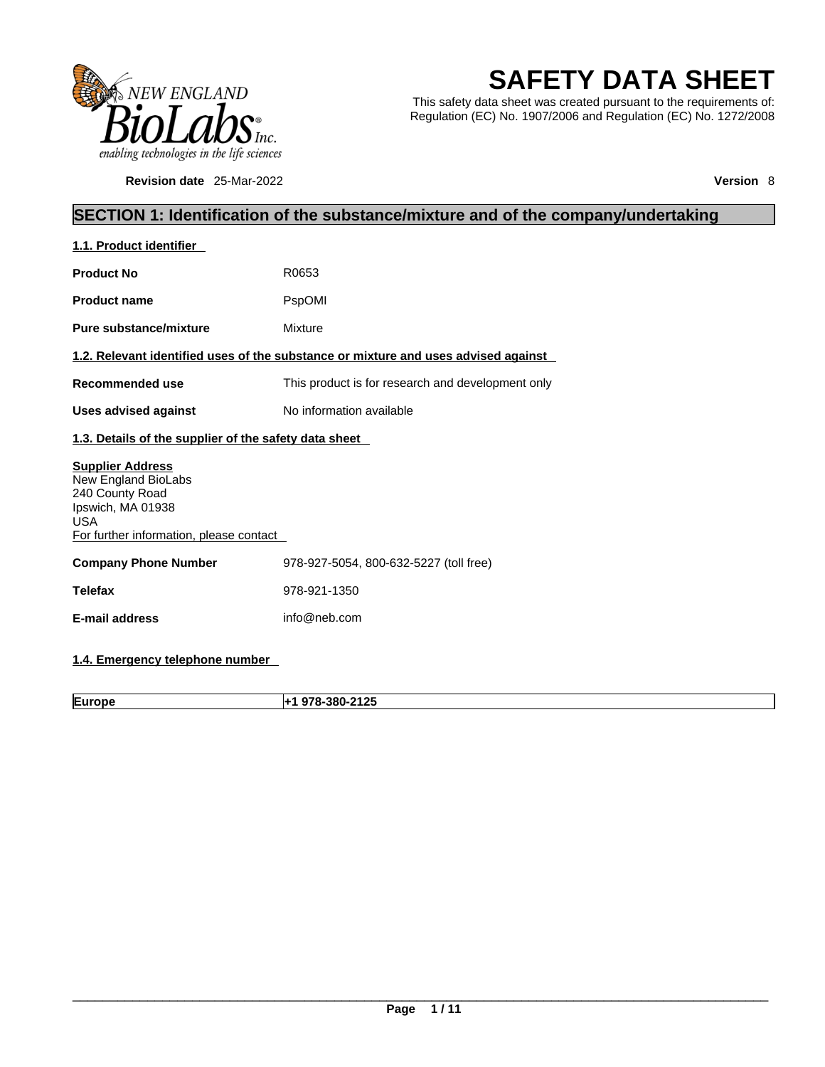

**Revision date** 25-Mar-2022 **Version** 8

# **SAFETY DATA SHEET**

This safety data sheet was created pursuant to the requirements of: Regulation (EC) No. 1907/2006 and Regulation (EC) No. 1272/2008

### **SECTION 1: Identification of the substance/mixture and of the company/undertaking**

| 1.1. Product identifier                                                                                                                         |                                                                                    |
|-------------------------------------------------------------------------------------------------------------------------------------------------|------------------------------------------------------------------------------------|
| <b>Product No</b>                                                                                                                               | R0653                                                                              |
| <b>Product name</b>                                                                                                                             | PspOMI                                                                             |
| Pure substance/mixture                                                                                                                          | Mixture                                                                            |
|                                                                                                                                                 | 1.2. Relevant identified uses of the substance or mixture and uses advised against |
| Recommended use                                                                                                                                 | This product is for research and development only                                  |
| <b>Uses advised against</b>                                                                                                                     | No information available                                                           |
| 1.3. Details of the supplier of the safety data sheet                                                                                           |                                                                                    |
| <b>Supplier Address</b><br>New England BioLabs<br>240 County Road<br>Ipswich, MA 01938<br><b>USA</b><br>For further information, please contact |                                                                                    |
| <b>Company Phone Number</b>                                                                                                                     | 978-927-5054, 800-632-5227 (toll free)                                             |
| <b>Telefax</b>                                                                                                                                  | 978-921-1350                                                                       |
| <b>E-mail address</b>                                                                                                                           | info@neb.com                                                                       |
|                                                                                                                                                 |                                                                                    |

### **1.4. Emergency telephone number**

**Europe +1 978-380-2125**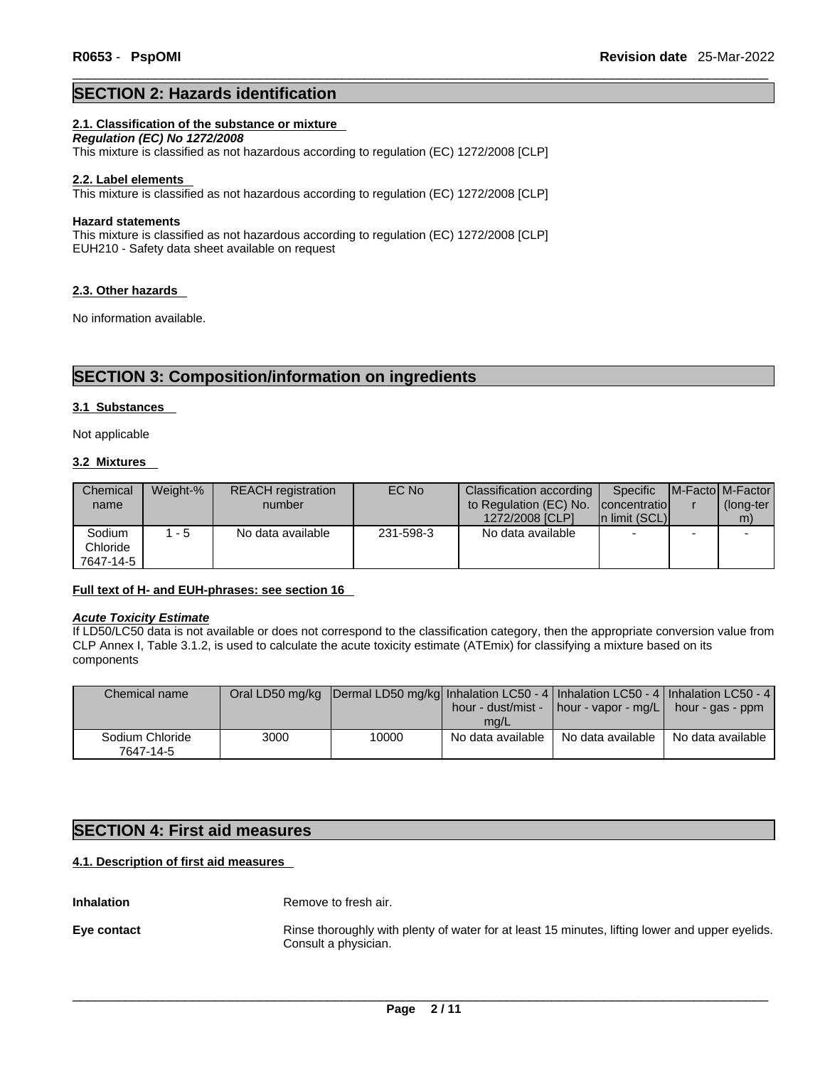#### **SECTION 2: Hazards identification**

#### **2.1. Classification of the substance or mixture**

*Regulation (EC) No 1272/2008*  This mixture is classified as not hazardous according to regulation (EC) 1272/2008 [CLP]

#### **2.2. Label elements**

This mixture is classified as not hazardous according to regulation (EC) 1272/2008 [CLP]

#### **Hazard statements**

This mixture is classified as not hazardous according to regulation (EC) 1272/2008 [CLP] EUH210 - Safety data sheet available on request

#### **2.3. Other hazards**

No information available.

### **SECTION 3: Composition/information on ingredients**

#### **3.1 Substances**

Not applicable

#### **3.2 Mixtures**

| Chemical  | Weight-% | <b>REACH</b> registration | EC No     | Classification according | Specific       |   | <b>IM-Factol M-Factor</b> |
|-----------|----------|---------------------------|-----------|--------------------------|----------------|---|---------------------------|
| name      |          | number                    |           | to Regulation (EC) No.   | concentratio   |   | (long-ter                 |
|           |          |                           |           | 1272/2008 [CLP]          | In limit (SCL) |   | m)                        |
| Sodium    | $1 - 5$  | No data available         | 231-598-3 | No data available        | $\blacksquare$ | - |                           |
| Chloride  |          |                           |           |                          |                |   |                           |
| 7647-14-5 |          |                           |           |                          |                |   |                           |

#### **Full text of H- and EUH-phrases: see section 16**

#### *Acute Toxicity Estimate*

If LD50/LC50 data is not available or does not correspond to the classification category, then the appropriate conversion value from CLP Annex I, Table 3.1.2, is used to calculate the acute toxicity estimate (ATEmix) for classifying a mixture based on its components

| Chemical name                |      | Oral LD50 mg/kg  Dermal LD50 mg/kg  Inhalation LC50 - 4   Inhalation LC50 - 4   Inhalation LC50 - 4 | mg/L              | hour - dust/mist - $\vert$ hour - vapor - mg/L $\vert$ hour - gas - ppm |                   |
|------------------------------|------|-----------------------------------------------------------------------------------------------------|-------------------|-------------------------------------------------------------------------|-------------------|
| Sodium Chloride<br>7647-14-5 | 3000 | 10000                                                                                               | No data available | No data available                                                       | No data available |

### **SECTION 4: First aid measures**

### **4.1. Description of first aid measures**

**Inhalation** Remove to fresh air.

**Eye contact** Rinse thoroughly with plenty of water for at least 15 minutes, lifting lower and upper eyelids. Consult a physician.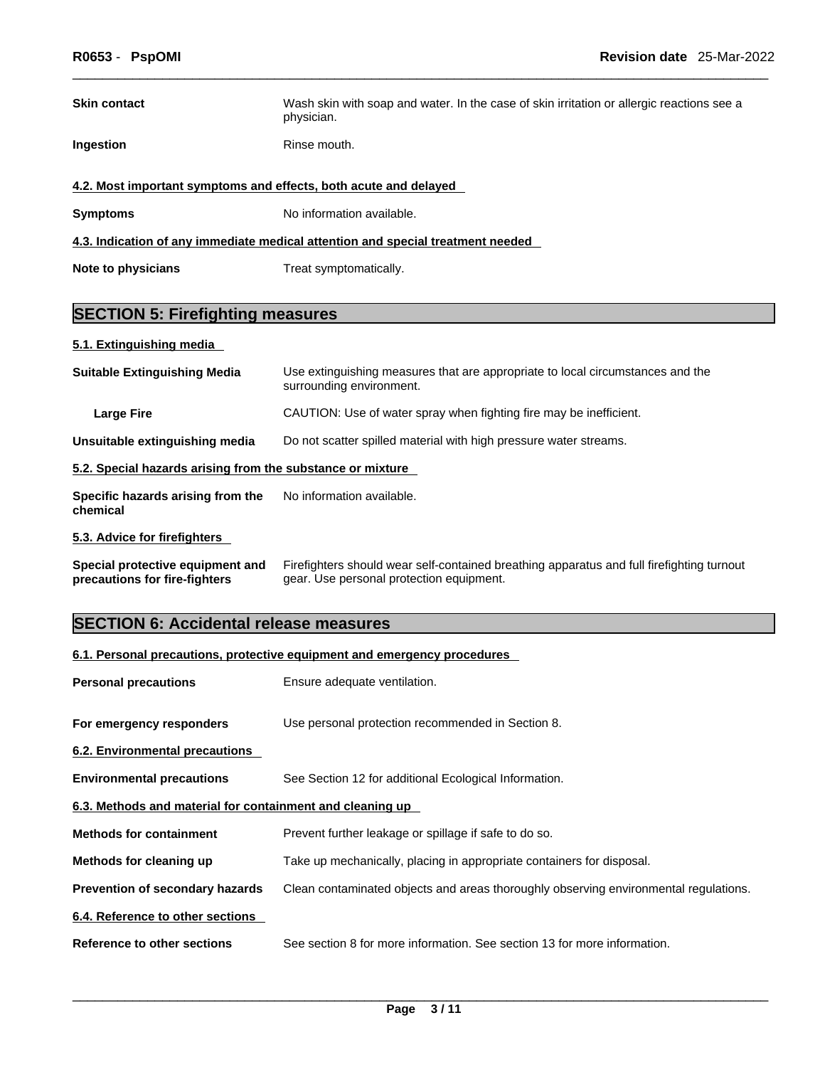| <b>Skin contact</b>                                                             | Wash skin with soap and water. In the case of skin irritation or allergic reactions see a<br>physician. |  |  |  |
|---------------------------------------------------------------------------------|---------------------------------------------------------------------------------------------------------|--|--|--|
| Ingestion                                                                       | Rinse mouth.                                                                                            |  |  |  |
| 4.2. Most important symptoms and effects, both acute and delayed                |                                                                                                         |  |  |  |
| <b>Symptoms</b>                                                                 | No information available.                                                                               |  |  |  |
| 4.3. Indication of any immediate medical attention and special treatment needed |                                                                                                         |  |  |  |
| Note to physicians                                                              | Treat symptomatically.                                                                                  |  |  |  |

## **SECTION 5: Firefighting measures**

### **5.1. Extinguishing media**

| <b>Suitable Extinguishing Media</b>                        | Use extinguishing measures that are appropriate to local circumstances and the<br>surrounding environment. |
|------------------------------------------------------------|------------------------------------------------------------------------------------------------------------|
| <b>Large Fire</b>                                          | CAUTION: Use of water spray when fighting fire may be inefficient.                                         |
| Unsuitable extinguishing media                             | Do not scatter spilled material with high pressure water streams.                                          |
| 5.2. Special hazards arising from the substance or mixture |                                                                                                            |
| Specific hazards arising from the<br>chemical              | No information available.                                                                                  |
| 5.3. Advice for firefighters                               |                                                                                                            |
| Special protective equipment and                           | Firefighters should wear self-contained breathing apparatus and full firefighting turnout                  |

**precautions for fire-fighters** gear. Use personal protection equipment.

### **SECTION 6: Accidental release measures**

| 6.1. Personal precautions, protective equipment and emergency procedures |                                                                                      |  |  |
|--------------------------------------------------------------------------|--------------------------------------------------------------------------------------|--|--|
| <b>Personal precautions</b>                                              | Ensure adequate ventilation.                                                         |  |  |
| For emergency responders                                                 | Use personal protection recommended in Section 8.                                    |  |  |
| 6.2. Environmental precautions                                           |                                                                                      |  |  |
| <b>Environmental precautions</b>                                         | See Section 12 for additional Ecological Information.                                |  |  |
| 6.3. Methods and material for containment and cleaning up                |                                                                                      |  |  |
| <b>Methods for containment</b>                                           | Prevent further leakage or spillage if safe to do so.                                |  |  |
| Methods for cleaning up                                                  | Take up mechanically, placing in appropriate containers for disposal.                |  |  |
| Prevention of secondary hazards                                          | Clean contaminated objects and areas thoroughly observing environmental regulations. |  |  |
| 6.4. Reference to other sections                                         |                                                                                      |  |  |
| Reference to other sections                                              | See section 8 for more information. See section 13 for more information.             |  |  |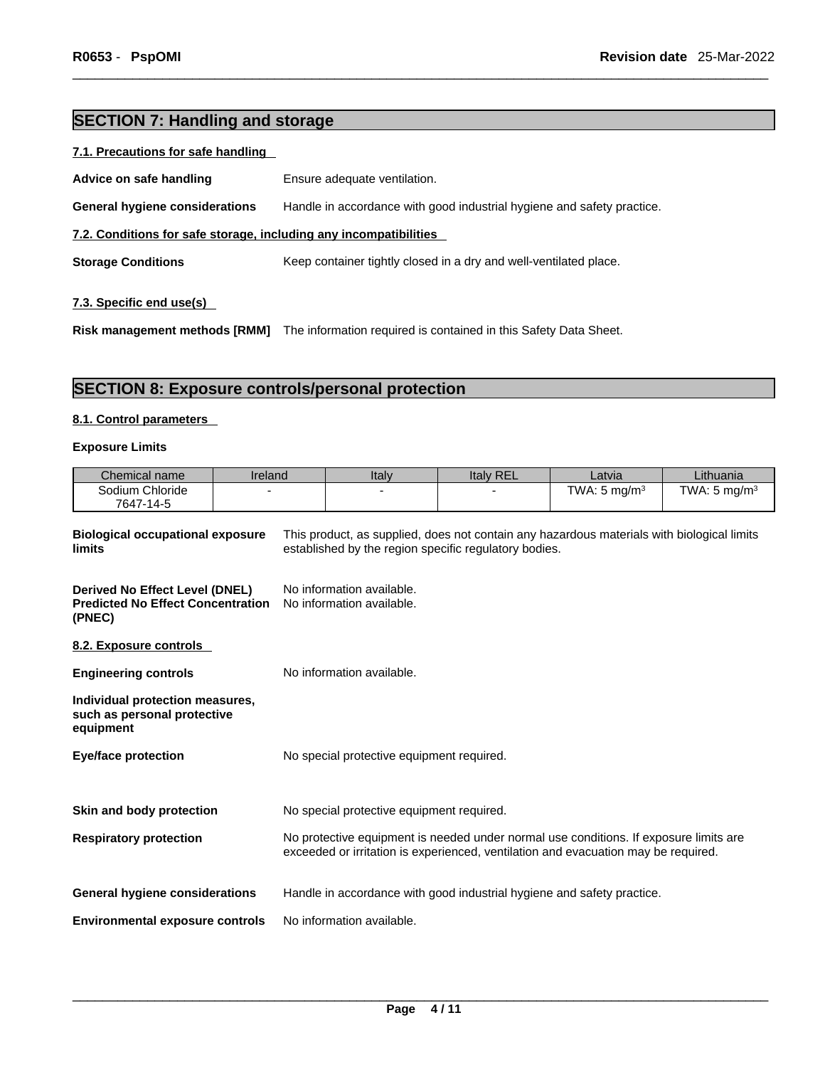### **SECTION 7: Handling and storage**

#### **7.1. Precautions for safe handling**

| Advice on safe handling                                           | Ensure adequate ventilation.                                           |
|-------------------------------------------------------------------|------------------------------------------------------------------------|
| <b>General hygiene considerations</b>                             | Handle in accordance with good industrial hygiene and safety practice. |
| 7.2. Conditions for safe storage, including any incompatibilities |                                                                        |
| <b>Storage Conditions</b>                                         | Keep container tightly closed in a dry and well-ventilated place.      |
|                                                                   |                                                                        |

#### **7.3. Specific end use(s)**

**Risk management methods [RMM]** The information required iscontained in this Safety Data Sheet.

### **SECTION 8: Exposure controls/personal protection**

#### **8.1. Control parameters**

**Individual protection measures,**

#### **Exposure Limits**

| Chemical name                                                                        | Ireland | Italy                                                  | <b>Italy REL</b>                                                                                                                                    | Latvia                   | Lithuania               |
|--------------------------------------------------------------------------------------|---------|--------------------------------------------------------|-----------------------------------------------------------------------------------------------------------------------------------------------------|--------------------------|-------------------------|
| Sodium Chloride                                                                      | -       |                                                        |                                                                                                                                                     | TWA: 5 mg/m <sup>3</sup> | TWA: $5 \text{ mg/m}^3$ |
| 7647-14-5                                                                            |         |                                                        |                                                                                                                                                     |                          |                         |
| <b>Biological occupational exposure</b><br><b>limits</b>                             |         |                                                        | This product, as supplied, does not contain any hazardous materials with biological limits<br>established by the region specific regulatory bodies. |                          |                         |
| Derived No Effect Level (DNEL)<br><b>Predicted No Effect Concentration</b><br>(PNEC) |         | No information available.<br>No information available. |                                                                                                                                                     |                          |                         |
| 8.2. Exposure controls                                                               |         |                                                        |                                                                                                                                                     |                          |                         |
| <b>Engineering controls</b>                                                          |         | No information available.                              |                                                                                                                                                     |                          |                         |

| such as personal protective<br>equipment |                                                                                                                                                                             |
|------------------------------------------|-----------------------------------------------------------------------------------------------------------------------------------------------------------------------------|
| <b>Eye/face protection</b>               | No special protective equipment required.                                                                                                                                   |
|                                          |                                                                                                                                                                             |
| Skin and body protection                 | No special protective equipment required.                                                                                                                                   |
| <b>Respiratory protection</b>            | No protective equipment is needed under normal use conditions. If exposure limits are<br>exceeded or irritation is experienced, ventilation and evacuation may be required. |
| <b>General hygiene considerations</b>    | Handle in accordance with good industrial hygiene and safety practice.                                                                                                      |
| <b>Environmental exposure controls</b>   | No information available.                                                                                                                                                   |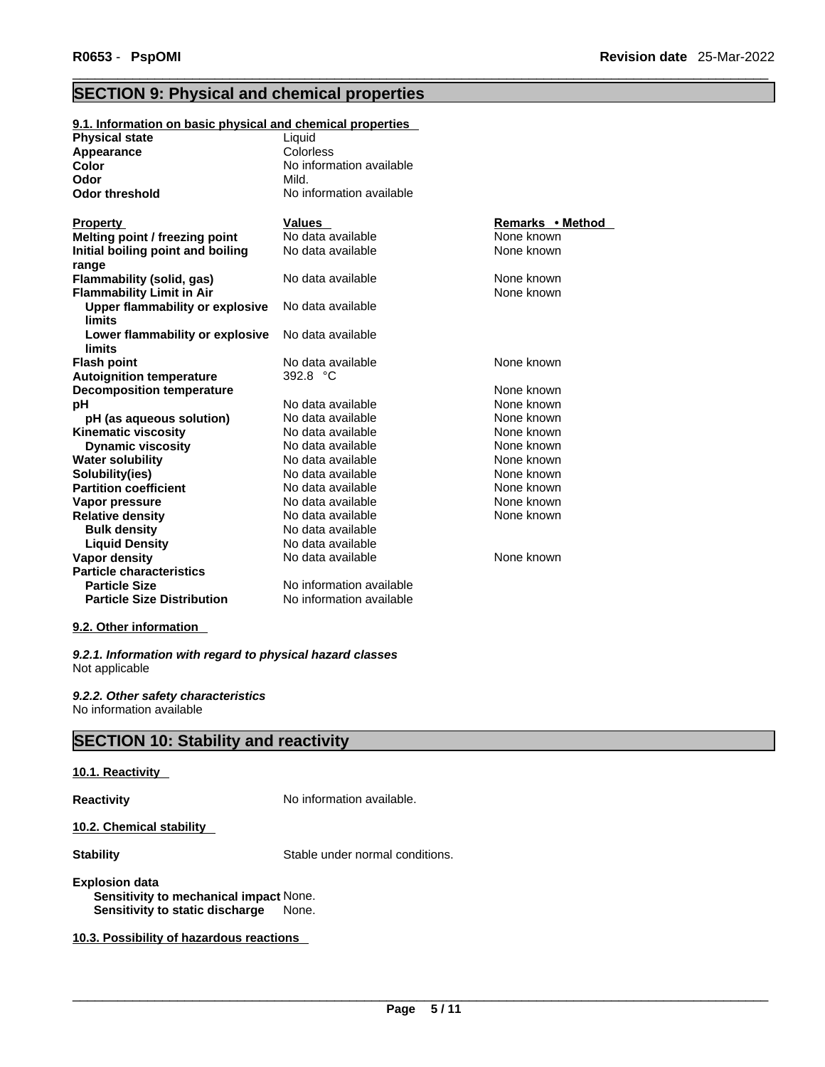### **SECTION 9: Physical and chemical properties**

| 9.1. Information on basic physical and chemical properties |                          |                  |
|------------------------------------------------------------|--------------------------|------------------|
| <b>Physical state</b>                                      | Liquid                   |                  |
| Appearance                                                 | Colorless                |                  |
| Color                                                      | No information available |                  |
| Odor                                                       | Mild.                    |                  |
| <b>Odor threshold</b>                                      | No information available |                  |
|                                                            |                          |                  |
| <b>Property</b>                                            | Values                   | Remarks • Method |
| Melting point / freezing point                             | No data available        | None known       |
| Initial boiling point and boiling                          | No data available        | None known       |
| range                                                      |                          |                  |
| <b>Flammability (solid, gas)</b>                           | No data available        | None known       |
| <b>Flammability Limit in Air</b>                           |                          | None known       |
| Upper flammability or explosive                            | No data available        |                  |
| <b>limits</b>                                              |                          |                  |
| Lower flammability or explosive                            | No data available        |                  |
| limits                                                     |                          |                  |
| <b>Flash point</b>                                         | No data available        | None known       |
| <b>Autoignition temperature</b>                            | 392.8 °C                 |                  |
| <b>Decomposition temperature</b>                           |                          | None known       |
| рH                                                         | No data available        | None known       |
| pH (as aqueous solution)                                   | No data available        | None known       |
| <b>Kinematic viscosity</b>                                 | No data available        | None known       |
| <b>Dynamic viscosity</b>                                   | No data available        | None known       |
| <b>Water solubility</b>                                    | No data available        | None known       |
| Solubility(ies)                                            | No data available        | None known       |
| <b>Partition coefficient</b>                               | No data available        | None known       |
| Vapor pressure                                             | No data available        | None known       |
| <b>Relative density</b>                                    | No data available        | None known       |
| <b>Bulk density</b>                                        | No data available        |                  |
| <b>Liquid Density</b>                                      | No data available        |                  |
| <b>Vapor density</b>                                       | No data available        | None known       |
| <b>Particle characteristics</b>                            |                          |                  |
| <b>Particle Size</b>                                       | No information available |                  |
| <b>Particle Size Distribution</b>                          | No information available |                  |

#### **9.2. Other information**

*9.2.1. Information with regard to physical hazard classes* Not applicable

*9.2.2. Other safety characteristics* No information available

### **SECTION 10: Stability and reactivity**

#### **10.1. Reactivity**

**Reactivity No information available.** 

**10.2. Chemical stability** 

**Stability** Stable under normal conditions.

#### **Explosion data Sensitivity to mechanical impact** None. **Sensitivity to static discharge** None.

**10.3. Possibility of hazardous reactions**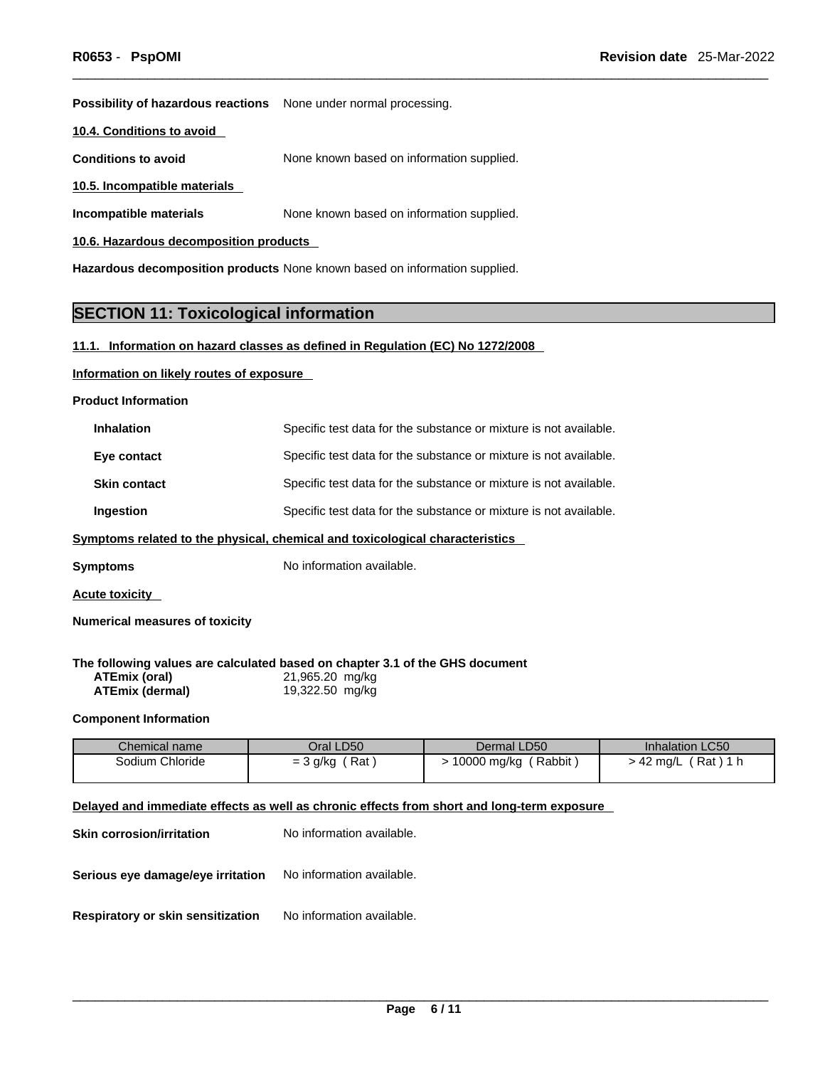**Possibility of hazardous reactions** None under normal processing.

**10.4. Conditions to avoid** 

**Conditions to avoid** None known based on information supplied.

**10.5. Incompatible materials**

**Incompatible materials** None known based on information supplied.

**10.6. Hazardous decomposition products** 

**Hazardous decomposition products** None known based on information supplied.

### **SECTION 11: Toxicological information**

#### **11.1. Information on hazard classes as defined in Regulation (EC) No 1272/2008**

#### **Information on likely routes of exposure**

**Product Information**

| <b>Inhalation</b>   | Specific test data for the substance or mixture is not available. |
|---------------------|-------------------------------------------------------------------|
| Eye contact         | Specific test data for the substance or mixture is not available. |
| <b>Skin contact</b> | Specific test data for the substance or mixture is not available. |
| Ingestion           | Specific test data for the substance or mixture is not available. |

#### **Symptoms related to the physical, chemical and toxicological characteristics**

**Symptoms** No information available.

**Acute toxicity** 

**Numerical measures of toxicity**

**The following values are calculated based on chapter 3.1 of the GHS document**

| ATEmix (oral)   | 21,965.20 mg/kg |
|-----------------|-----------------|
| ATEmix (dermal) | 19,322.50 mg/kg |

#### **Component Information**

| Chemical name   | Oral LD50  | Dermal LD50 | <b>Inhalation LC50</b> |
|-----------------|------------|-------------|------------------------|
| Sodium Chloride | Rat        | Rabbit      | Rat)                   |
|                 | $=$ 3 g/kg | 10000 mg/kg | $\sim$ 42 ma/L         |

#### **Delayed and immediate effects as well as chronic effects from short and long-term exposure**

| <b>Skin corrosion/irritation</b>                                   | No information available. |
|--------------------------------------------------------------------|---------------------------|
| <b>Serious eye damage/eye irritation</b> No information available. |                           |
| Respiratory or skin sensitization                                  | No information available. |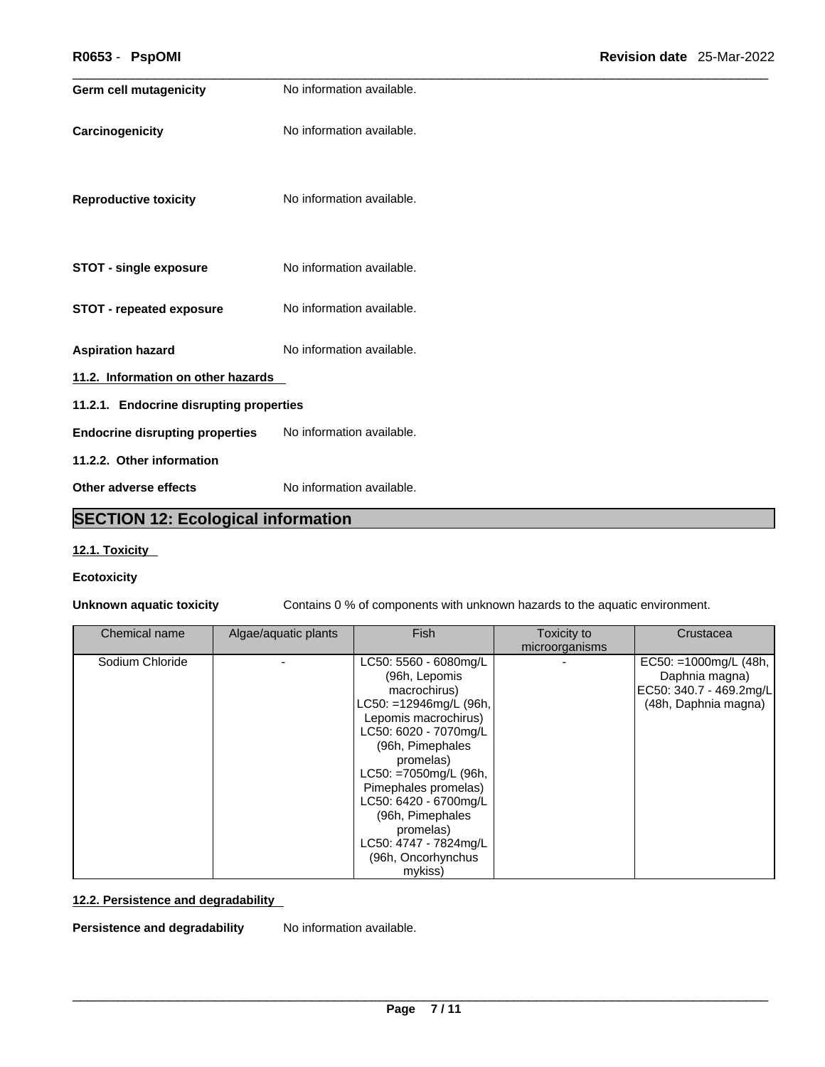| R0653 - PspOMI                          |                           | Revision date 25-Mar-2022 |
|-----------------------------------------|---------------------------|---------------------------|
| <b>Germ cell mutagenicity</b>           | No information available. |                           |
| Carcinogenicity                         | No information available. |                           |
| <b>Reproductive toxicity</b>            | No information available. |                           |
| <b>STOT - single exposure</b>           | No information available. |                           |
| <b>STOT - repeated exposure</b>         | No information available. |                           |
| <b>Aspiration hazard</b>                | No information available. |                           |
| 11.2. Information on other hazards      |                           |                           |
| 11.2.1. Endocrine disrupting properties |                           |                           |
| <b>Endocrine disrupting properties</b>  | No information available. |                           |
| 11.2.2. Other information               |                           |                           |
| Other adverse effects                   | No information available. |                           |
|                                         |                           |                           |

### **SECTION 12: Ecological information**

#### **12.1. Toxicity**

#### **Ecotoxicity**

**Unknown aquatic toxicity** Contains 0 % of components with unknown hazards to the aquatic environment.

| Chemical name   | Algae/aquatic plants | <b>Fish</b>                                                                                                                                                                                                                                                                                                                             | Toxicity to<br>microorganisms | Crustacea                                                                                    |  |
|-----------------|----------------------|-----------------------------------------------------------------------------------------------------------------------------------------------------------------------------------------------------------------------------------------------------------------------------------------------------------------------------------------|-------------------------------|----------------------------------------------------------------------------------------------|--|
| Sodium Chloride |                      | LC50: 5560 - 6080mg/L<br>(96h, Lepomis<br>macrochirus)<br>LC50: =12946mg/L (96h,<br>Lepomis macrochirus)<br>LC50: 6020 - 7070mg/L<br>(96h, Pimephales<br>promelas)<br>LC50: =7050mg/L (96h,<br>Pimephales promelas)<br>LC50: 6420 - 6700mg/L<br>(96h, Pimephales<br>promelas)<br>LC50: 4747 - 7824mg/L<br>(96h, Oncorhynchus<br>mykiss) |                               | EC50: =1000mg/L $(48h,$<br>Daphnia magna)<br>EC50: 340.7 - 469.2mg/L<br>(48h, Daphnia magna) |  |

#### **12.2. Persistence and degradability**

**Persistence and degradability** No information available.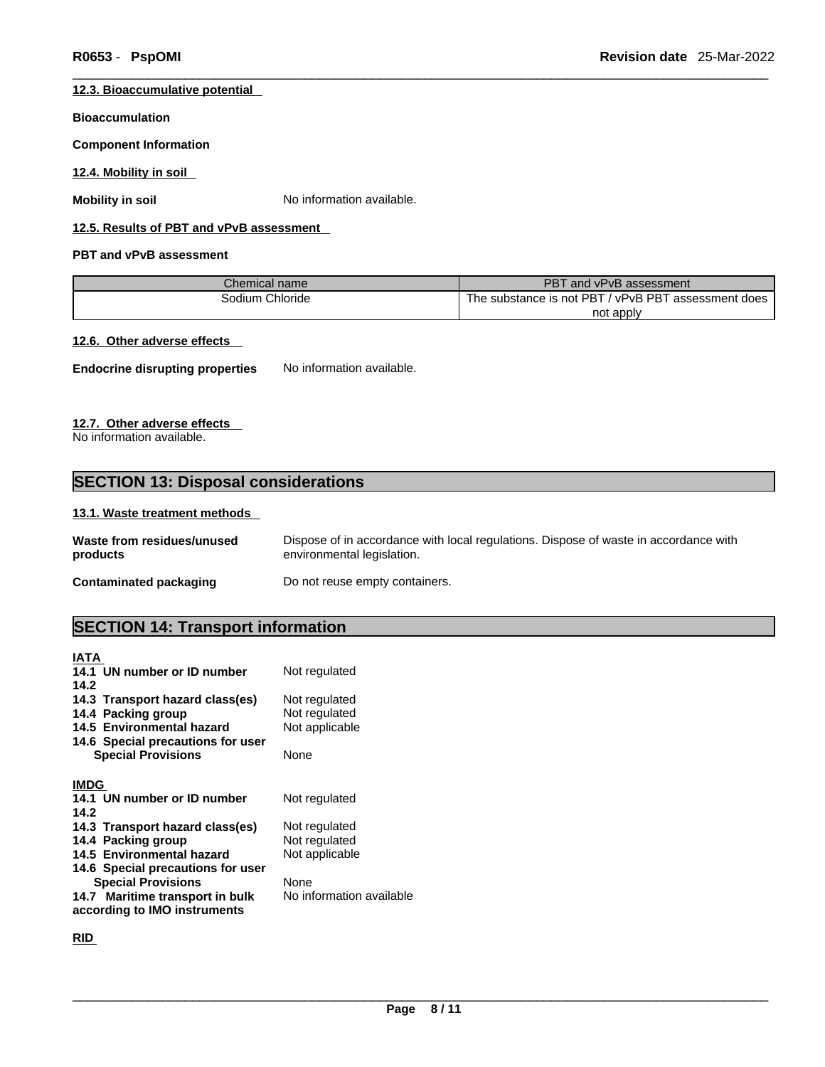#### **12.3. Bioaccumulative potential**

#### **Bioaccumulation**

#### **Component Information**

**12.4. Mobility in soil** 

**Mobility in soil** No information available.

#### **12.5. Results of PBT and vPvB assessment**

#### **PBT and vPvB assessment**

| Chemical name   | PBT and vPvB assessment                             |
|-----------------|-----------------------------------------------------|
| Sodium Chloride | The substance is not PBT / vPvB PBT assessment does |
|                 | not apply                                           |

#### **12.6. Other adverse effects**

**Endocrine disrupting properties** No information available.

#### **12.7. Other adverse effects**

No information available.

### **SECTION 13: Disposal considerations**

#### **13.1. Waste treatment methods**

| Waste from residues/unused | Dispose of in accordance with local regulations. Dispose of waste in accordance with |
|----------------------------|--------------------------------------------------------------------------------------|
| products                   | environmental legislation.                                                           |
| Contaminated packaging     | Do not reuse empty containers.                                                       |

### **SECTION 14: Transport information**

| <b>IATA</b>                       |                          |
|-----------------------------------|--------------------------|
| 14.1 UN number or ID number       | Not regulated            |
| 14.2                              |                          |
| 14.3 Transport hazard class(es)   | Not regulated            |
| 14.4 Packing group                | Not regulated            |
| 14.5 Environmental hazard         | Not applicable           |
| 14.6 Special precautions for user |                          |
| <b>Special Provisions</b>         | None                     |
|                                   |                          |
| <b>IMDG</b>                       |                          |
| 14.1 UN number or ID number       | Not regulated            |
| 14.2                              |                          |
| 14.3 Transport hazard class(es)   | Not regulated            |
| 14.4 Packing group                | Not regulated            |
| 14.5 Environmental hazard         | Not applicable           |
| 14.6 Special precautions for user |                          |
| <b>Special Provisions</b>         | None                     |
| 14.7 Maritime transport in bulk   | No information available |
| according to IMO instruments      |                          |

**RID**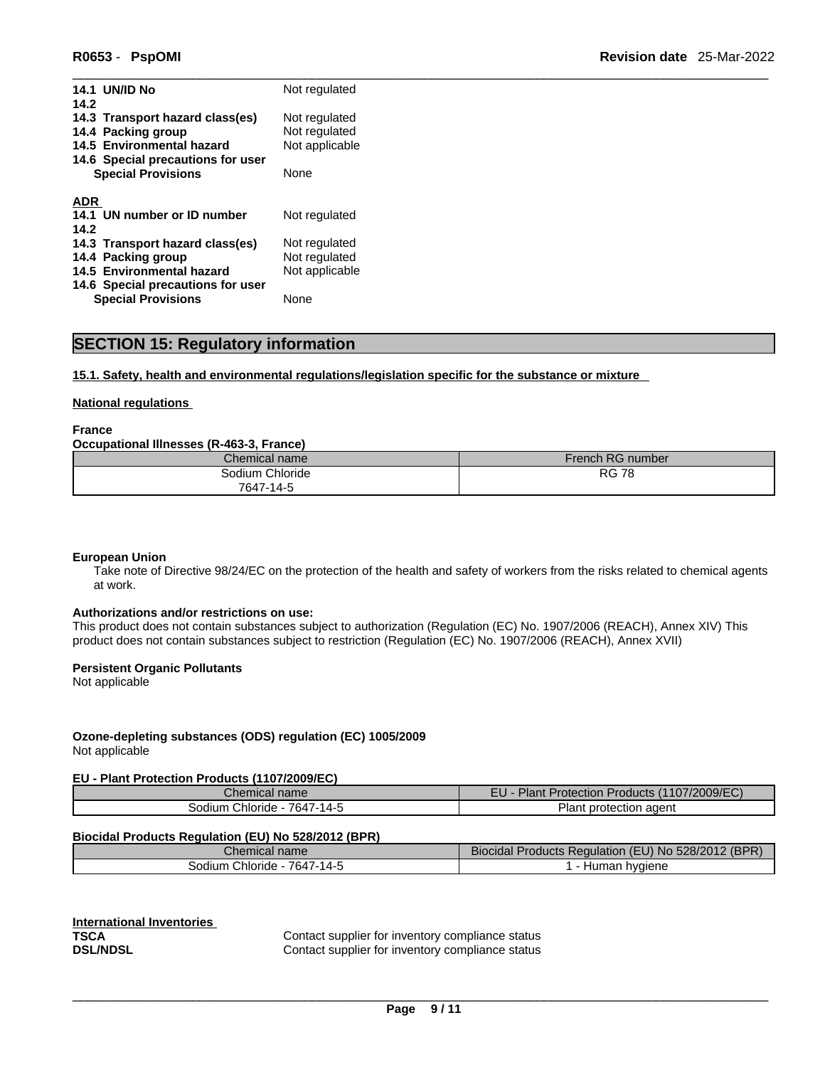| <b>14.1 UN/ID No</b>                                                                       | Not regulated                                    |
|--------------------------------------------------------------------------------------------|--------------------------------------------------|
| 14.2<br>14.3 Transport hazard class(es)<br>14.4 Packing group<br>14.5 Environmental hazard | Not regulated<br>Not regulated<br>Not applicable |
| 14.6 Special precautions for user<br><b>Special Provisions</b>                             | None                                             |
| ADR                                                                                        |                                                  |
| 14.1 UN number or ID number                                                                | Not regulated                                    |
| 14.2<br>14.3 Transport hazard class(es)<br>14.4 Packing group                              | Not regulated<br>Not regulated                   |
| 14.5 Environmental hazard                                                                  | Not applicable                                   |
| 14.6 Special precautions for user<br><b>Special Provisions</b>                             | None                                             |
|                                                                                            |                                                  |

### **SECTION 15: Regulatory information**

#### **15.1. Safety, health and environmental regulations/legislation specific for the substance or mixture**

#### **National regulations**

**France** 

#### **Occupational Illnesses (R-463-3, France)**

| Chemical name   | French RG number |
|-----------------|------------------|
| Sodium Chloride | RG<br>70<br>- 70 |
| 7647-14-5       |                  |

#### **European Union**

Take note of Directive 98/24/EC on the protection of the health and safety of workers from the risks related to chemical agents at work.

#### **Authorizations and/or restrictions on use:**

This product does not contain substances subject to authorization (Regulation (EC) No. 1907/2006 (REACH), Annex XIV) This product does not contain substances subject to restriction (Regulation (EC) No. 1907/2006 (REACH), Annex XVII)

#### **Persistent Organic Pollutants**

Not applicable

### **Ozone-depleting substances (ODS) regulation (EC) 1005/2009**

Not applicable

#### **EU - Plant Protection Products (1107/2009/EC)**

| Chemical<br>name                         | гι.<br>7/2009/FC<br>п.<br><b>Protection Products</b><br>iant<br>cu. |
|------------------------------------------|---------------------------------------------------------------------|
| 7647.<br>$-14-F$<br>chloride -<br>30dium | aaent ו<br>protection<br>Ίanτ                                       |

#### **Biocidal Products Regulation (EU) No 528/2012 (BPR)**

| Chemical name                  | (BPR)<br>- -<br>528/2012<br>I<br>Biocidal<br>roducts Regulation_<br>TEU) NO.<br>'NJ |
|--------------------------------|-------------------------------------------------------------------------------------|
| 7647-14-:<br>odium<br>Chloride | hvaiene<br>$-1$<br>пu.<br>лы т                                                      |

**International Inventories**

**TSCA Contact supplier for inventory compliance status**<br>**DSL/NDSL Contact supplier for inventory compliance status** Contact supplier for inventory compliance status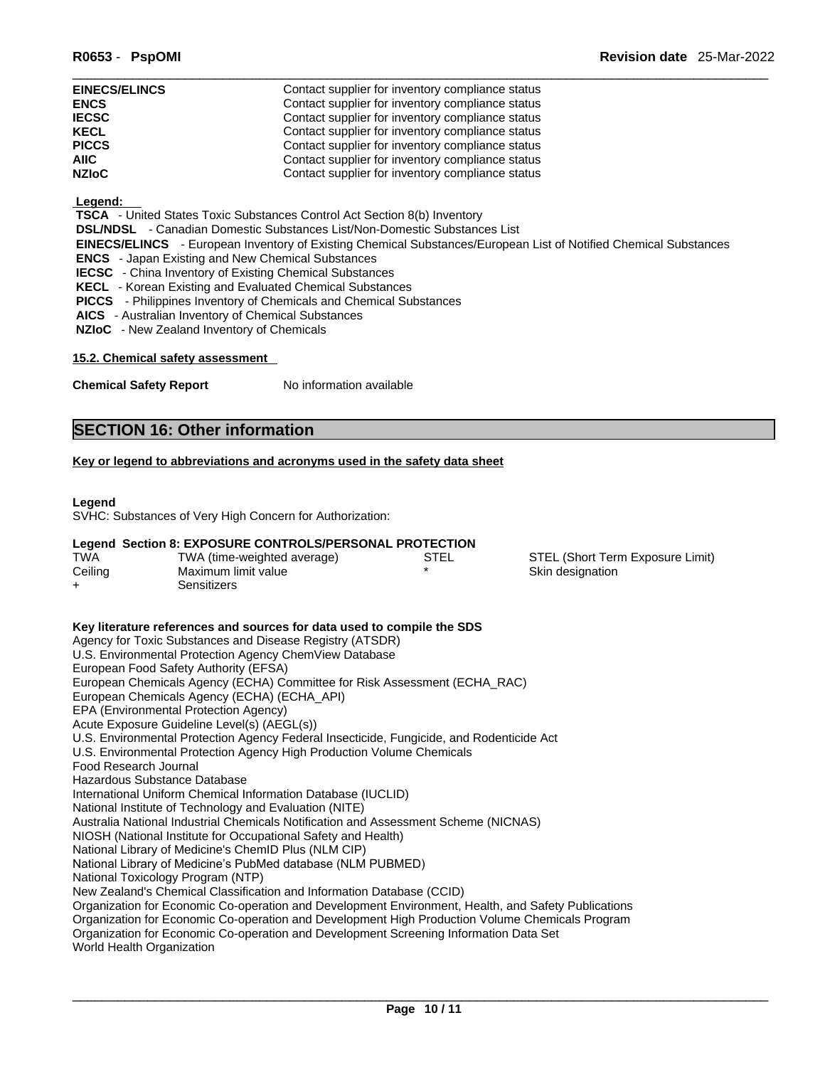| <b>EINECS/ELINCS</b> | Contact supplier for inventory compliance status |
|----------------------|--------------------------------------------------|
| <b>ENCS</b>          | Contact supplier for inventory compliance status |
| <b>IECSC</b>         | Contact supplier for inventory compliance status |
| <b>KECL</b>          | Contact supplier for inventory compliance status |
| <b>PICCS</b>         | Contact supplier for inventory compliance status |
| <b>AIIC</b>          | Contact supplier for inventory compliance status |
| <b>NZIoC</b>         | Contact supplier for inventory compliance status |

#### **Legend:**

 **TSCA** - United States Toxic Substances Control Act Section 8(b) Inventory

 **DSL/NDSL** - Canadian Domestic Substances List/Non-Domestic Substances List

- **EINECS/ELINCS**  European Inventory of Existing Chemical Substances/European List of Notified Chemical Substances
- **ENCS**  Japan Existing and New Chemical Substances
- **IECSC**  China Inventory of Existing Chemical Substances
- **KECL**  Korean Existing and Evaluated Chemical Substances
- **PICCS**  Philippines Inventory of Chemicals and Chemical Substances
- **AICS**  Australian Inventory of Chemical Substances
- **NZIoC**  New Zealand Inventory of Chemicals

#### **15.2. Chemical safety assessment**

**Chemical Safety Report** No information available

### **SECTION 16: Other information**

#### **Key or legend to abbreviations and acronyms used in the safety data sheet**

#### **Legend**

SVHC: Substances of Very High Concern for Authorization:

#### **Legend Section 8: EXPOSURE CONTROLS/PERSONAL PROTECTION**

| <b>TWA</b> | TWA (time-weighted average) | STEL | STEL (Short Term Exposure Limit) |
|------------|-----------------------------|------|----------------------------------|
| Ceiling    | Maximum limit value         |      | Skin designation                 |
| ᆠ          | Sensitizers                 |      |                                  |

**Key literature references and sources for data used to compile the SDS** Agency for Toxic Substances and Disease Registry (ATSDR) U.S. Environmental Protection Agency ChemView Database European Food Safety Authority (EFSA) European Chemicals Agency (ECHA) Committee for Risk Assessment (ECHA\_RAC) European Chemicals Agency (ECHA) (ECHA\_API) EPA (Environmental Protection Agency) Acute Exposure Guideline Level(s) (AEGL(s)) U.S. Environmental Protection Agency Federal Insecticide, Fungicide, and Rodenticide Act U.S. Environmental Protection Agency High Production Volume Chemicals Food Research Journal Hazardous Substance Database International Uniform Chemical Information Database (IUCLID) National Institute of Technology and Evaluation (NITE) Australia National Industrial Chemicals Notification and Assessment Scheme (NICNAS) NIOSH (National Institute for Occupational Safety and Health) National Library of Medicine's ChemID Plus (NLM CIP) National Library of Medicine's PubMed database (NLM PUBMED) National Toxicology Program (NTP) New Zealand's Chemical Classification and Information Database (CCID) Organization for Economic Co-operation and Development Environment, Health, and Safety Publications Organization for Economic Co-operation and Development High Production Volume Chemicals Program Organization for Economic Co-operation and Development Screening Information Data Set World Health Organization